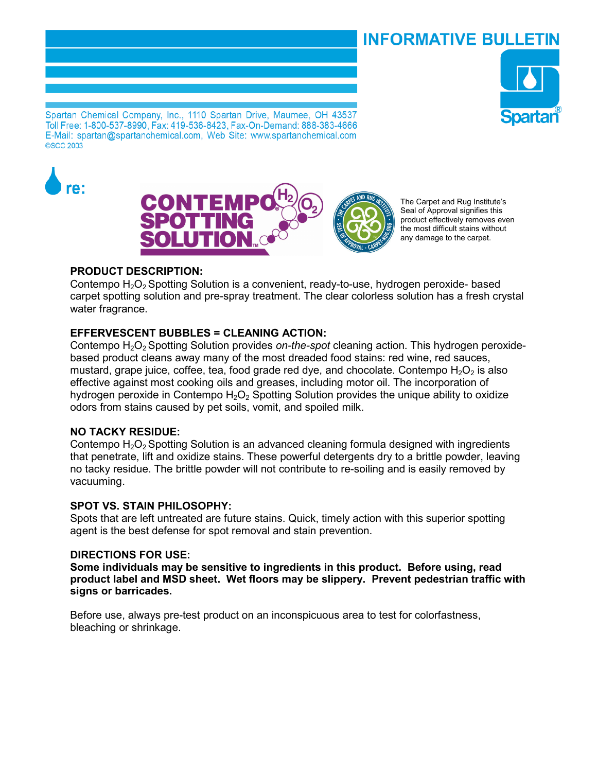# INFORMATIVE BULLETIN



Spartan Chemical Company, Inc., 1110 Spartan Drive, Maumee, OH 43537 Toll Free: 1-800-537-8990, Fax: 419-536-8423, Fax-On-Demand: 888-383-4666 E-Mail: spartan@spartanchemical.com, Web Site: www.spartanchemical.com **©SCC 2003** 





The Carpet and Rug Institute's Seal of Approval signifies this product effectively removes even the most difficult stains without any damage to the carpet.

## **PRODUCT DESCRIPTION:**

Contempo H<sub>2</sub>O<sub>2</sub> Spotting Solution is a convenient, ready-to-use, hydrogen peroxide- based carpet spotting solution and pre-spray treatment. The clear colorless solution has a fresh crystal water fragrance.

## **EFFERVESCENT BUBBLES = CLEANING ACTION:**

Contempo H2O2 Spotting Solution provides *on-the-spot* cleaning action. This hydrogen peroxidebased product cleans away many of the most dreaded food stains: red wine, red sauces, mustard, grape juice, coffee, tea, food grade red dye, and chocolate. Contempo  $H_2O_2$  is also effective against most cooking oils and greases, including motor oil. The incorporation of hydrogen peroxide in Contempo  $H_2O_2$  Spotting Solution provides the unique ability to oxidize odors from stains caused by pet soils, vomit, and spoiled milk.

### **NO TACKY RESIDUE:**

Contempo  $H_2O_2$  Spotting Solution is an advanced cleaning formula designed with ingredients that penetrate, lift and oxidize stains. These powerful detergents dry to a brittle powder, leaving no tacky residue. The brittle powder will not contribute to re-soiling and is easily removed by vacuuming.

### **SPOT VS. STAIN PHILOSOPHY:**

Spots that are left untreated are future stains. Quick, timely action with this superior spotting agent is the best defense for spot removal and stain prevention.

### **DIRECTIONS FOR USE:**

**Some individuals may be sensitive to ingredients in this product. Before using, read product label and MSD sheet. Wet floors may be slippery. Prevent pedestrian traffic with signs or barricades.** 

Before use, always pre-test product on an inconspicuous area to test for colorfastness, bleaching or shrinkage.